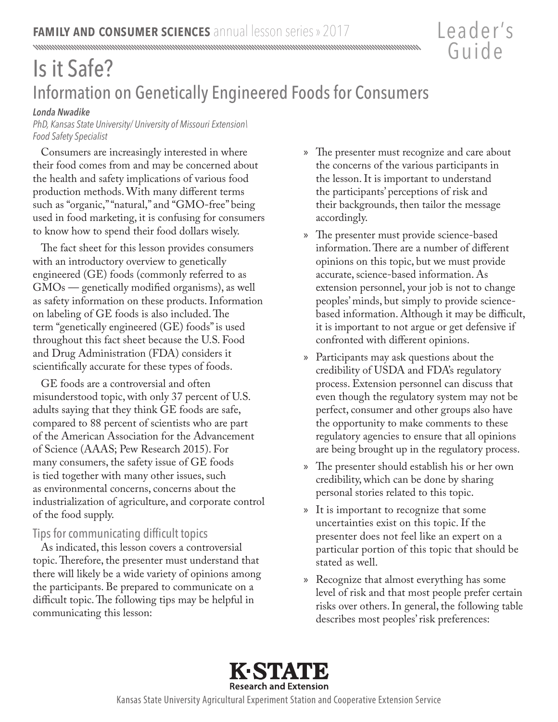# Is it Safe? Information on Genetically Engineered Foods for Consumers

#### *Londa Nwadike*

*PhD, Kansas State University/ University of Missouri Extension\ Food Safety Specialist*

Consumers are increasingly interested in where their food comes from and may be concerned about the health and safety implications of various food production methods. With many different terms such as "organic," "natural," and "GMO-free" being used in food marketing, it is confusing for consumers to know how to spend their food dollars wisely.

The fact sheet for this lesson provides consumers with an introductory overview to genetically engineered (GE) foods (commonly referred to as GMOs — genetically modified organisms), as well as safety information on these products. Information on labeling of GE foods is also included. The term "genetically engineered (GE) foods" is used throughout this fact sheet because the U.S. Food and Drug Administration (FDA) considers it scientifically accurate for these types of foods.

GE foods are a controversial and often misunderstood topic, with only 37 percent of U.S. adults saying that they think GE foods are safe, compared to 88 percent of scientists who are part of the American Association for the Advancement of Science (AAAS; Pew Research 2015). For many consumers, the safety issue of GE foods is tied together with many other issues, such as environmental concerns, concerns about the industrialization of agriculture, and corporate control of the food supply.

# Tips for communicating difficult topics

As indicated, this lesson covers a controversial topic. Therefore, the presenter must understand that there will likely be a wide variety of opinions among the participants. Be prepared to communicate on a difficult topic. The following tips may be helpful in communicating this lesson:

» The presenter must recognize and care about the concerns of the various participants in the lesson. It is important to understand the participants' perceptions of risk and their backgrounds, then tailor the message accordingly.

Leader 's

Guide

- » The presenter must provide science-based information. There are a number of different opinions on this topic, but we must provide accurate, science-based information. As extension personnel, your job is not to change peoples' minds, but simply to provide sciencebased information. Although it may be difficult, it is important to not argue or get defensive if confronted with different opinions.
- » Participants may ask questions about the credibility of USDA and FDA's regulatory process. Extension personnel can discuss that even though the regulatory system may not be perfect, consumer and other groups also have the opportunity to make comments to these regulatory agencies to ensure that all opinions are being brought up in the regulatory process.
- » The presenter should establish his or her own credibility, which can be done by sharing personal stories related to this topic.
- » It is important to recognize that some uncertainties exist on this topic. If the presenter does not feel like an expert on a particular portion of this topic that should be stated as well.
- » Recognize that almost everything has some level of risk and that most people prefer certain risks over others. In general, the following table describes most peoples' risk preferences:



Kansas State University Agricultural Experiment Station and Cooperative Extension Service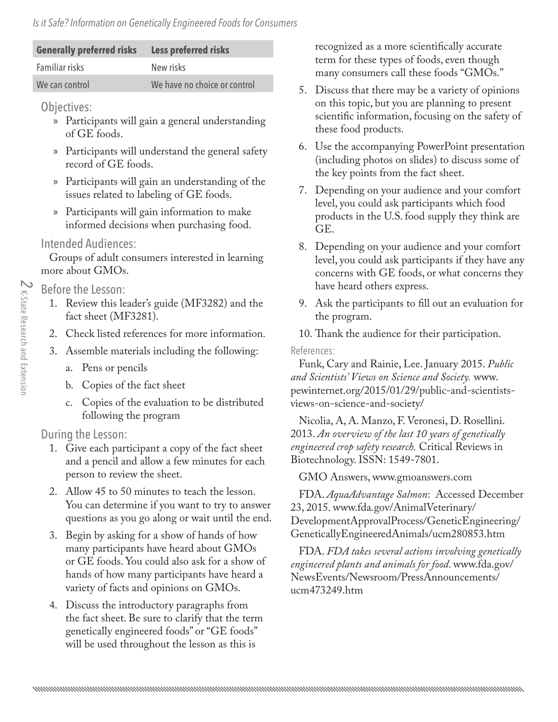#### *Is it Safe? Information on Genetically Engineered Foods for Consumers*

| <b>Generally preferred risks</b> | Less preferred risks         |
|----------------------------------|------------------------------|
| Familiar risks                   | New risks                    |
| We can control                   | We have no choice or control |

Objectives:

- » Participants will gain a general understanding of GE foods.
- » Participants will understand the general safety record of GE foods.
- » Participants will gain an understanding of the issues related to labeling of GE foods.
- » Participants will gain information to make informed decisions when purchasing food.

### Intended Audiences:

Groups of adult consumers interested in learning more about GMOs.

Before the Lesson:

- 1. Review this leader's guide (MF3282) and the fact sheet (MF3281).
- 2. Check listed references for more information.
- 3. Assemble materials including the following:
	- a. Pens or pencils
	- b. Copies of the fact sheet
	- c. Copies of the evaluation to be distributed following the program

# During the Lesson:

- 1. Give each participant a copy of the fact sheet and a pencil and allow a few minutes for each person to review the sheet.
- 2. Allow 45 to 50 minutes to teach the lesson. You can determine if you want to try to answer questions as you go along or wait until the end.
- 3. Begin by asking for a show of hands of how many participants have heard about GMOs or GE foods. You could also ask for a show of hands of how many participants have heard a variety of facts and opinions on GMOs.
- 4. Discuss the introductory paragraphs from the fact sheet. Be sure to clarify that the term genetically engineered foods" or "GE foods" will be used throughout the lesson as this is

recognized as a more scientifically accurate term for these types of foods, even though many consumers call these foods "GMOs."

- 5. Discuss that there may be a variety of opinions on this topic, but you are planning to present scientific information, focusing on the safety of these food products.
- 6. Use the accompanying PowerPoint presentation (including photos on slides) to discuss some of the key points from the fact sheet.
- 7. Depending on your audience and your comfort level, you could ask participants which food products in the U.S. food supply they think are GE.
- 8. Depending on your audience and your comfort level, you could ask participants if they have any concerns with GE foods, or what concerns they have heard others express.
- 9. Ask the participants to fill out an evaluation for the program.
- 10. Thank the audience for their participation.

References:

Funk, Cary and Rainie, Lee. January 2015. *Public and Scientists' Views on Science and Society.* www. [pewinternet.org/2015/01/29/public-and-scientists](http://www.pewinternet.org/2015/01/29/public-and-scientists-views-on-science-and-society/)views-on-science-and-society/

Nicolia, A, A. Manzo, F. Veronesi, D. Rosellini. 2013. *An overview of the last 10 years of genetically engineered crop safety research.* Critical Reviews in Biotechnology. ISSN: 1549-7801.

GMO Answers, www.gmoanswers.com

FDA. *AquaAdvantage Salmon*: Accessed December 23, 2015. www.fda.gov/AnimalVeterinary/ [DevelopmentApprovalProcess/GeneticEngineerin](http://www.fda.gov/AnimalVeterinary/DevelopmentApprovalProcess/GeneticEngineering/GeneticallyEngineeredAnimals/ucm280853.htm)g/ GeneticallyEngineeredAnimals/ucm280853.htm

FDA. *FDA takes several actions involving genetically engineered plants and animals for food*. www.fda.gov/ [NewsEvents/Newsroom/PressAnnouncements/](http://www.fda.gov/NewsEvents/Newsroom/PressAnnouncements/ucm473249.htm) ucm473249.htm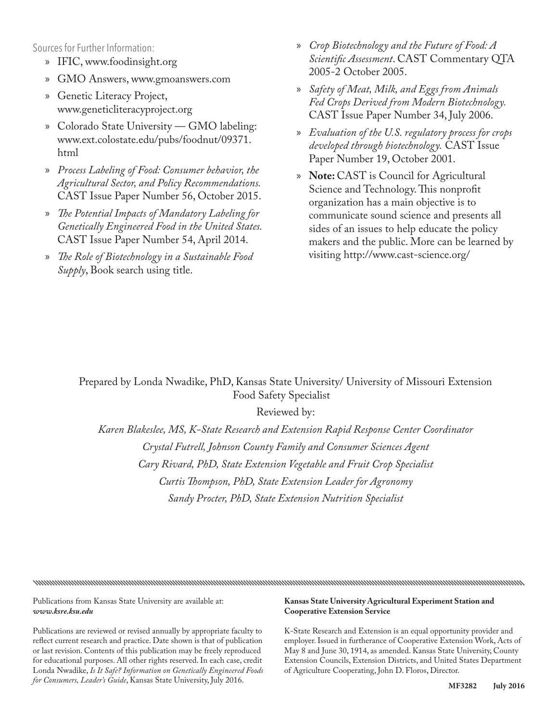Sources for Further Information:

- » IFIC, www.foodinsight.org
- » GMO Answers, www.gmoanswers.com
- » Genetic Literacy Project, www.geneticliteracyproject.org
- » Colorado State University GMO labeling: [www.ext.colostate.edu/pubs/foodnut/09371.](http://extension.colostate.edu/topic-areas/nutrition-food-safety-health/labeling-of-genetically-modified-foods-9-371/) html
- » *Process Labeling of Food: Consumer behavior, the Agricultural Sector, and Policy Recommendations.* CAST Issue Paper Number 56, October 2015.
- » *The Potential Impacts of Mandatory Labeling for Genetically Engineered Food in the United States.* CAST Issue Paper Number 54, April 2014.
- » *The Role of Biotechnology in a Sustainable Food Supply*, Book search using title.
- » *Crop Biotechnology and the Future of Food: A Scientific Assessment*. CAST Commentary QTA 2005-2 October 2005.
- » *Safety of Meat, Milk, and Eggs from Animals Fed Crops Derived from Modern Biotechnology.* CAST Issue Paper Number 34, July 2006.
- » *Evaluation of the U.S. regulatory process for crops developed through biotechnology.* CAST Issue Paper Number 19, October 2001.
- » **Note:** CAST is Council for Agricultural Science and Technology. This nonprofit organization has a main objective is to communicate sound science and presents all sides of an issues to help educate the policy makers and the public. More can be learned by visiting http://www.cast-science.org/

#### Prepared by Londa Nwadike, PhD, Kansas State University/ University of Missouri Extension Food Safety Specialist

Reviewed by:

*Karen Blakeslee, MS, K-State Research and Extension Rapid Response Center Coordinator Crystal Futrell, Johnson County Family and Consumer Sciences Agent Cary Rivard, PhD, State Extension Vegetable and Fruit Crop Specialist Curtis Thompson, PhD, State Extension Leader for Agronomy Sandy Procter, PhD, State Extension Nutrition Specialist* 

nomunimonomunimonomunimonomunimonomunimonunumonunumonunumonunumonunumonunumonunumonunumonunumonunumonunumonunu

Publications from Kansas State University are available at: *www.ksre.ksu.edu*

Publications are reviewed or revised annually by appropriate faculty to reflect current research and practice. Date shown is that of publication or last revision. Contents of this publication may be freely reproduced for educational purposes. All other rights reserved. In each case, credit Londa Nwadike, *Is It Safe? Information on Genetically Engineered Foods for Consumers, Leader's Guide*, Kansas State University, July 2016.

#### **Kansas State University Agricultural Experiment Station and Cooperative Extension Service**

K-State Research and Extension is an equal opportunity provider and employer. Issued in furtherance of Cooperative Extension Work, Acts of May 8 and June 30, 1914, as amended. Kansas State University, County Extension Councils, Extension Districts, and United States Department of Agriculture Cooperating, John D. Floros, Director.